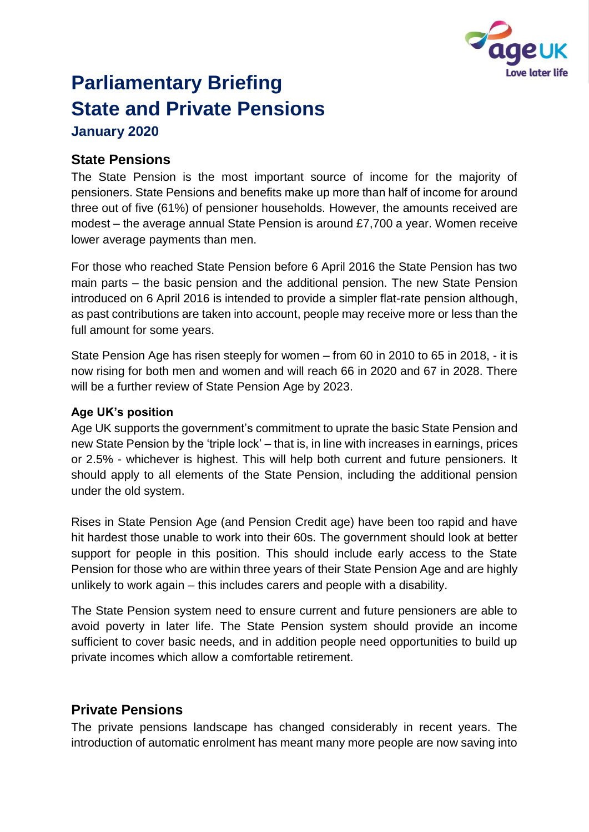

# **Parliamentary Briefing State and Private Pensions**

**January 2020**

# **State Pensions**

The State Pension is the most important source of income for the majority of pensioners. State Pensions and benefits make up more than half of income for around three out of five (61%) of pensioner households. However, the amounts received are modest – the average annual State Pension is around £7,700 a year. Women receive lower average payments than men.

For those who reached State Pension before 6 April 2016 the State Pension has two main parts – the basic pension and the additional pension. The new State Pension introduced on 6 April 2016 is intended to provide a simpler flat-rate pension although, as past contributions are taken into account, people may receive more or less than the full amount for some years.

State Pension Age has risen steeply for women – from 60 in 2010 to 65 in 2018, - it is now rising for both men and women and will reach 66 in 2020 and 67 in 2028. There will be a further review of State Pension Age by 2023.

#### **Age UK's position**

Age UK supports the government's commitment to uprate the basic State Pension and new State Pension by the 'triple lock' – that is, in line with increases in earnings, prices or 2.5% - whichever is highest. This will help both current and future pensioners. It should apply to all elements of the State Pension, including the additional pension under the old system.

Rises in State Pension Age (and Pension Credit age) have been too rapid and have hit hardest those unable to work into their 60s. The government should look at better support for people in this position. This should include early access to the State Pension for those who are within three years of their State Pension Age and are highly unlikely to work again – this includes carers and people with a disability.

The State Pension system need to ensure current and future pensioners are able to avoid poverty in later life. The State Pension system should provide an income sufficient to cover basic needs, and in addition people need opportunities to build up private incomes which allow a comfortable retirement.

# **Private Pensions**

The private pensions landscape has changed considerably in recent years. The introduction of automatic enrolment has meant many more people are now saving into